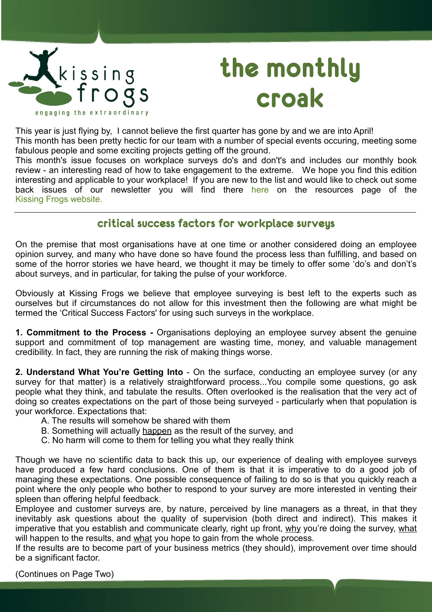

# **the monthly croak**

This year is just flying by, I cannot believe the first quarter has gone by and we are into April! This month has been pretty hectic for our team with a number of special events occuring, meeting some

fabulous people and some exciting projects getting off the ground.

This month's issue focuses on workplace surveys do's and don't's and includes our monthly book review - an interesting read of how to take engagement to the extreme. We hope you find this edition interesting and applicable to your workplace! If you are new to the list and would like to check out some back issues of our newsletter you will find t[here](http://www.kissingfrogs.co.nz/Resources.aspx) here on the resources page of the [Kissing Frogs website.](http://www.kissingfrogs.co.nz/)

## **critical success factors for workplace surveys**

On the premise that most organisations have at one time or another considered doing an employee opinion survey, and many who have done so have found the process less than fulfilling, and based on some of the horror stories we have heard, we thought it may be timely to offer some 'do's and don't's about surveys, and in particular, for taking the pulse of your workforce.

Obviously at Kissing Frogs we believe that employee surveying is best left to the experts such as ourselves but if circumstances do not allow for this investment then the following are what might be termed the 'Critical Success Factors' for using such surveys in the workplace.

**1. Commitment to the Process -** Organisations deploying an employee survey absent the genuine support and commitment of top management are wasting time, money, and valuable management credibility. In fact, they are running the risk of making things worse.

**2. Understand What You're Getting Into** - On the surface, conducting an employee survey (or any survey for that matter) is a relatively straightforward process...You compile some questions, go ask people what they think, and tabulate the results. Often overlooked is the realisation that the very act of doing so creates expectations on the part of those being surveyed - particularly when that population is your workforce. Expectations that:

- A. The results will somehow be shared with them
- B. Something will actually happen as the result of the survey, and
- C. No harm will come to them for telling you what they really think

Though we have no scientific data to back this up, our experience of dealing with employee surveys have produced a few hard conclusions. One of them is that it is imperative to do a good job of managing these expectations. One possible consequence of failing to do so is that you quickly reach a point where the only people who bother to respond to your survey are more interested in venting their spleen than offering helpful feedback.

Employee and customer surveys are, by nature, perceived by line managers as a threat, in that they inevitably ask questions about the quality of supervision (both direct and indirect). This makes it imperative that you establish and communicate clearly, right up front, why you're doing the survey, what will happen to the results, and what you hope to gain from the whole process.

If the results are to become part of your business metrics (they should), improvement over time should be a significant factor.

(Continues on Page Two)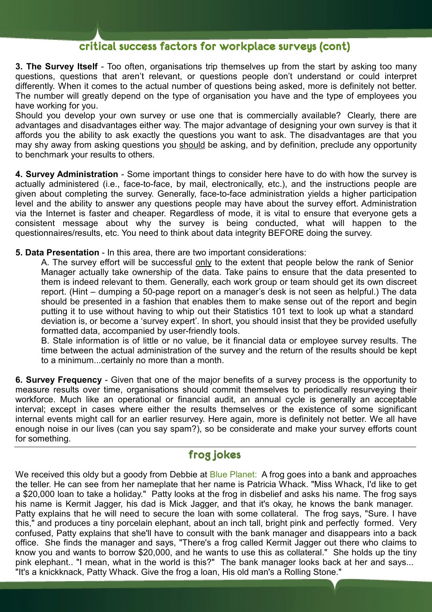## **critical success factors for workplace surveys (cont)**

**3. The Survey Itself** - Too often, organisations trip themselves up from the start by asking too many questions, questions that aren't relevant, or questions people don't understand or could interpret differently. When it comes to the actual number of questions being asked, more is definitely not better. The number will greatly depend on the type of organisation you have and the type of employees you have working for you.

Should you develop your own survey or use one that is commercially available? Clearly, there are advantages and disadvantages either way. The major advantage of designing your own survey is that it affords you the ability to ask exactly the questions you want to ask. The disadvantages are that you may shy away from asking questions you should be asking, and by definition, preclude any opportunity to benchmark your results to others.

**4. Survey Administration** - Some important things to consider here have to do with how the survey is actually administered (i.e., face-to-face, by mail, electronically, etc.), and the instructions people are given about completing the survey. Generally, face-to-face administration yields a higher participation level and the ability to answer any questions people may have about the survey effort. Administration via the Internet is faster and cheaper. Regardless of mode, it is vital to ensure that everyone gets a consistent message about why the survey is being conducted, what will happen to the questionnaires/results, etc. You need to think about data integrity BEFORE doing the survey.

**5. Data Presentation** - In this area, there are two important considerations:

A. The survey effort will be successful only to the extent that people below the rank of Senior Manager actually take ownership of the data. Take pains to ensure that the data presented to them is indeed relevant to them. Generally, each work group or team should get its own discreet report. (Hint – dumping a 50-page report on a manager's desk is not seen as helpful.) The data should be presented in a fashion that enables them to make sense out of the report and begin putting it to use without having to whip out their Statistics 101 text to look up what a standard deviation is, or become a 'survey expert'. In short, you should insist that they be provided usefully formatted data, accompanied by user-friendly tools.

B. Stale information is of little or no value, be it financial data or employee survey results. The time between the actual administration of the survey and the return of the results should be kept to a minimum...certainly no more than a month.

**6. Survey Frequency** - Given that one of the major benefits of a survey process is the opportunity to measure results over time, organisations should commit themselves to periodically resurveying their workforce. Much like an operational or financial audit, an annual cycle is generally an acceptable interval; except in cases where either the results themselves or the existence of some significant internal events might call for an earlier resurvey. Here again, more is definitely not better. We all have enough noise in our lives (can you say spam?), so be considerate and make your survey efforts count for something.

# **frog jokes**

We received this oldy but a goody from Debbie at [Blue Planet:](http://www.blueplanet.co.nz/) A frog goes into a bank and approaches the teller. He can see from her nameplate that her name is Patricia Whack. "Miss Whack, I'd like to get a \$20,000 loan to take a holiday." Patty looks at the frog in disbelief and asks his name. The frog says his name is Kermit Jagger, his dad is Mick Jagger, and that it's okay, he knows the bank manager. Patty explains that he will need to secure the loan with some collateral. The frog says, "Sure. I have this," and produces a tiny porcelain elephant, about an inch tall, bright pink and perfectly formed. Very confused, Patty explains that she'll have to consult with the bank manager and disappears into a back office. She finds the manager and says, "There's a frog called Kermit Jagger out there who claims to know you and wants to borrow \$20,000, and he wants to use this as collateral." She holds up the tiny pink elephant.. "I mean, what in the world is this?" The bank manager looks back at her and says... "It's a knickknack, Patty Whack. Give the frog a loan, His old man's a Rolling Stone."